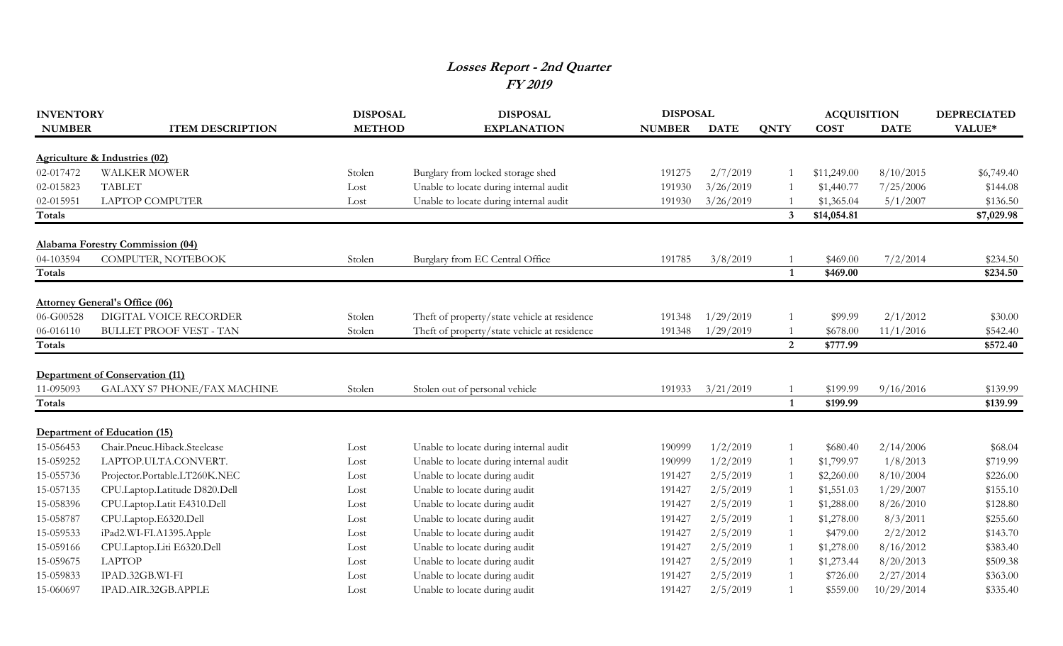## **Losses Report - 2nd Quarter FY 2019**

| <b>INVENTORY</b> |                                         | <b>DISPOSAL</b> | <b>DISPOSAL</b>                              | <b>DISPOSAL</b> |             |                         | <b>ACQUISITION</b> |             | <b>DEPRECIATED</b> |
|------------------|-----------------------------------------|-----------------|----------------------------------------------|-----------------|-------------|-------------------------|--------------------|-------------|--------------------|
| <b>NUMBER</b>    | <b>ITEM DESCRIPTION</b>                 | <b>METHOD</b>   | <b>EXPLANATION</b>                           | <b>NUMBER</b>   | <b>DATE</b> | <b>QNTY</b>             | <b>COST</b>        | <b>DATE</b> | VALUE*             |
|                  |                                         |                 |                                              |                 |             |                         |                    |             |                    |
|                  | Agriculture & Industries (02)           |                 |                                              |                 |             |                         |                    |             |                    |
| 02-017472        | <b>WALKER MOWER</b>                     | Stolen          | Burglary from locked storage shed            | 191275          | 2/7/2019    |                         | \$11,249.00        | 8/10/2015   | \$6,749.40         |
| 02-015823        | <b>TABLET</b>                           | Lost            | Unable to locate during internal audit       | 191930          | 3/26/2019   |                         | \$1,440.77         | 7/25/2006   | \$144.08           |
| 02-015951        | <b>LAPTOP COMPUTER</b>                  | Lost            | Unable to locate during internal audit       | 191930          | 3/26/2019   |                         | \$1,365.04         | 5/1/2007    | \$136.50           |
| <b>Totals</b>    |                                         |                 |                                              |                 |             | $\overline{\mathbf{3}}$ | \$14,054.81        |             | \$7,029.98         |
|                  | <b>Alabama Forestry Commission (04)</b> |                 |                                              |                 |             |                         |                    |             |                    |
| 04-103594        | COMPUTER, NOTEBOOK                      | Stolen          | Burglary from EC Central Office              | 191785          | 3/8/2019    |                         | \$469.00           | 7/2/2014    | \$234.50           |
| <b>Totals</b>    |                                         |                 |                                              |                 |             | $\mathbf{1}$            | \$469.00           |             | \$234.50           |
|                  | <b>Attorney General's Office (06)</b>   |                 |                                              |                 |             |                         |                    |             |                    |
| 06-G00528        | DIGITAL VOICE RECORDER                  | Stolen          | Theft of property/state vehicle at residence | 191348          | 1/29/2019   |                         | \$99.99            | 2/1/2012    | \$30.00            |
| 06-016110        | <b>BULLET PROOF VEST - TAN</b>          | Stolen          | Theft of property/state vehicle at residence | 191348          | 1/29/2019   |                         | \$678.00           | 11/1/2016   | \$542.40           |
| <b>Totals</b>    |                                         |                 |                                              |                 |             | 2                       | \$777.99           |             | \$572.40           |
|                  |                                         |                 |                                              |                 |             |                         |                    |             |                    |
|                  | Department of Conservation (11)         |                 |                                              |                 |             |                         |                    |             |                    |
| 11-095093        | <b>GALAXY S7 PHONE/FAX MACHINE</b>      | Stolen          | Stolen out of personal vehicle               | 191933          | 3/21/2019   |                         | \$199.99           | 9/16/2016   | \$139.99           |
| <b>Totals</b>    |                                         |                 |                                              |                 |             | $\mathbf{1}$            | \$199.99           |             | \$139.99           |
|                  | Department of Education (15)            |                 |                                              |                 |             |                         |                    |             |                    |
| 15-056453        | Chair.Pneuc.Hiback.Steelcase            | Lost            | Unable to locate during internal audit       | 190999          | 1/2/2019    |                         | \$680.40           | 2/14/2006   | \$68.04            |
| 15-059252        | LAPTOP.ULTA.CONVERT.                    | Lost            | Unable to locate during internal audit       | 190999          | 1/2/2019    |                         | \$1,799.97         | 1/8/2013    | \$719.99           |
| 15-055736        | Projector.Portable.LT260K.NEC           | Lost            | Unable to locate during audit                | 191427          | 2/5/2019    |                         | \$2,260.00         | 8/10/2004   | \$226.00           |
| 15-057135        | CPU.Laptop.Latitude D820.Dell           | Lost            | Unable to locate during audit                | 191427          | 2/5/2019    |                         | \$1,551.03         | 1/29/2007   | \$155.10           |
| 15-058396        | CPU.Laptop.Latit E4310.Dell             | Lost            | Unable to locate during audit                | 191427          | 2/5/2019    |                         | \$1,288.00         | 8/26/2010   | \$128.80           |
| 15-058787        | CPU.Laptop.E6320.Dell                   | Lost            | Unable to locate during audit                | 191427          | 2/5/2019    |                         | \$1,278.00         | 8/3/2011    | \$255.60           |
| 15-059533        | iPad2.WI-FI.A1395.Apple                 | Lost            | Unable to locate during audit                | 191427          | 2/5/2019    |                         | \$479.00           | 2/2/2012    | \$143.70           |
| 15-059166        | CPU.Laptop.Liti E6320.Dell              | Lost            | Unable to locate during audit                | 191427          | 2/5/2019    |                         | \$1,278.00         | 8/16/2012   | \$383.40           |
| 15-059675        | <b>LAPTOP</b>                           | Lost            | Unable to locate during audit                | 191427          | 2/5/2019    |                         | \$1,273.44         | 8/20/2013   | \$509.38           |
| 15-059833        | IPAD.32GB.WI-FI                         | Lost            | Unable to locate during audit                | 191427          | 2/5/2019    |                         | \$726.00           | 2/27/2014   | \$363.00           |
| 15-060697        | IPAD.AIR.32GB.APPLE                     | Lost            | Unable to locate during audit                | 191427          | 2/5/2019    |                         | \$559.00           | 10/29/2014  | \$335.40           |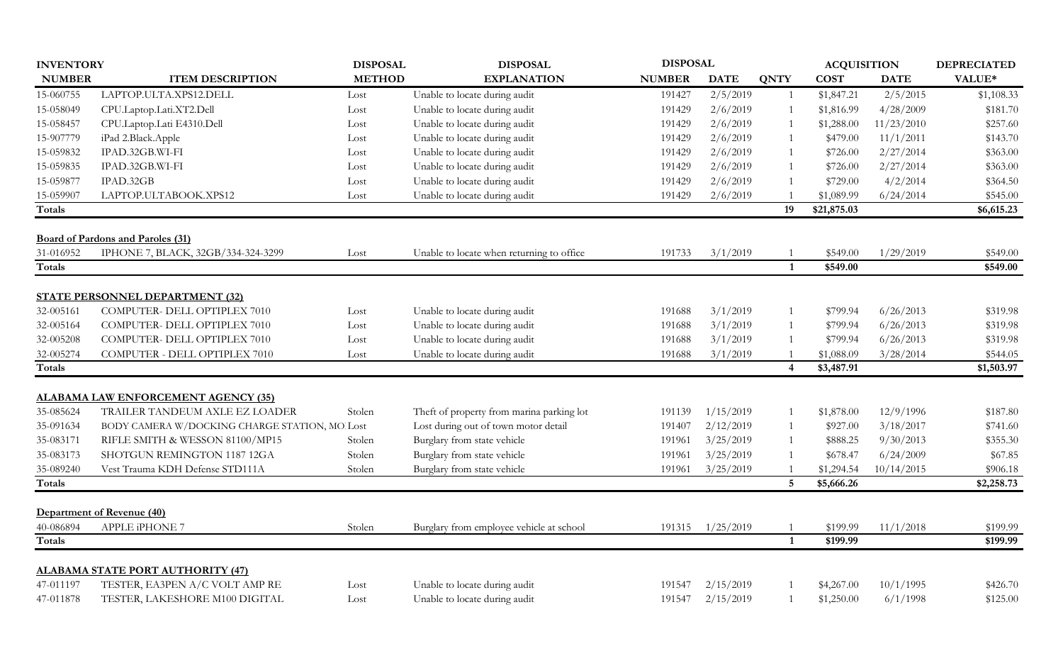| <b>INVENTORY</b> |                                               | <b>DISPOSAL</b> | <b>DISPOSAL</b>                           | <b>DISPOSAL</b> |             |                  | <b>ACQUISITION</b> |             | <b>DEPRECIATED</b> |
|------------------|-----------------------------------------------|-----------------|-------------------------------------------|-----------------|-------------|------------------|--------------------|-------------|--------------------|
| <b>NUMBER</b>    | <b>ITEM DESCRIPTION</b>                       | <b>METHOD</b>   | <b>EXPLANATION</b>                        | <b>NUMBER</b>   | <b>DATE</b> | <b>QNTY</b>      | <b>COST</b>        | <b>DATE</b> | VALUE*             |
| 15-060755        | LAPTOP.ULTA.XPS12.DELL                        | Lost            | Unable to locate during audit             | 191427          | 2/5/2019    | $\overline{1}$   | \$1,847.21         | 2/5/2015    | \$1,108.33         |
| 15-058049        | CPU.Laptop.Lati.XT2.Dell                      | Lost            | Unable to locate during audit             | 191429          | 2/6/2019    | $\overline{1}$   | \$1,816.99         | 4/28/2009   | \$181.70           |
| 15-058457        | CPU.Laptop.Lati E4310.Dell                    | Lost            | Unable to locate during audit             | 191429          | 2/6/2019    | $\overline{1}$   | \$1,288.00         | 11/23/2010  | \$257.60           |
| 15-907779        | iPad 2.Black.Apple                            | Lost            | Unable to locate during audit             | 191429          | 2/6/2019    | $\mathbf{1}$     | \$479.00           | 11/1/2011   | \$143.70           |
| 15-059832        | IPAD.32GB.WI-FI                               | Lost            | Unable to locate during audit             | 191429          | 2/6/2019    | 1                | \$726.00           | 2/27/2014   | \$363.00           |
| 15-059835        | IPAD.32GB.WI-FI                               | Lost            | Unable to locate during audit             | 191429          | 2/6/2019    | $\overline{1}$   | \$726.00           | 2/27/2014   | \$363.00           |
| 15-059877        | IPAD.32GB                                     | Lost            | Unable to locate during audit             | 191429          | 2/6/2019    |                  | \$729.00           | 4/2/2014    | \$364.50           |
| 15-059907        | LAPTOP.ULTABOOK.XPS12                         | Lost            | Unable to locate during audit             | 191429          | 2/6/2019    |                  | \$1,089.99         | 6/24/2014   | \$545.00           |
| Totals           |                                               |                 |                                           |                 |             | 19               | \$21,875.03        |             | \$6,615.23         |
|                  | <b>Board of Pardons and Paroles (31)</b>      |                 |                                           |                 |             |                  |                    |             |                    |
| 31-016952        | IPHONE 7, BLACK, 32GB/334-324-3299            | Lost            | Unable to locate when returning to office | 191733          | 3/1/2019    |                  | \$549.00           | 1/29/2019   | \$549.00           |
| <b>Totals</b>    |                                               |                 |                                           |                 |             | $\mathbf{1}$     | \$549.00           |             | \$549.00           |
|                  |                                               |                 |                                           |                 |             |                  |                    |             |                    |
|                  | <b>STATE PERSONNEL DEPARTMENT (32)</b>        |                 |                                           |                 |             |                  |                    |             |                    |
| 32-005161        | COMPUTER- DELL OPTIPLEX 7010                  | Lost            | Unable to locate during audit             | 191688          | 3/1/2019    | $\mathbf{1}$     | \$799.94           | 6/26/2013   | \$319.98           |
| 32-005164        | COMPUTER- DELL OPTIPLEX 7010                  | Lost            | Unable to locate during audit             | 191688          | 3/1/2019    | 1                | \$799.94           | 6/26/2013   | \$319.98           |
| 32-005208        | COMPUTER- DELL OPTIPLEX 7010                  | Lost            | Unable to locate during audit             | 191688          | 3/1/2019    | $\overline{1}$   | \$799.94           | 6/26/2013   | \$319.98           |
| 32-005274        | COMPUTER - DELL OPTIPLEX 7010                 | Lost            | Unable to locate during audit             | 191688          | 3/1/2019    | $\mathbf{1}$     | \$1,088.09         | 3/28/2014   | \$544.05           |
| <b>Totals</b>    |                                               |                 |                                           |                 |             | $\boldsymbol{4}$ | \$3,487.91         |             | \$1,503.97         |
|                  | <b>ALABAMA LAW ENFORCEMENT AGENCY (35)</b>    |                 |                                           |                 |             |                  |                    |             |                    |
| 35-085624        | TRAILER TANDEUM AXLE EZ LOADER                | Stolen          | Theft of property from marina parking lot | 191139          | 1/15/2019   | $\mathbf{1}$     | \$1,878.00         | 12/9/1996   | \$187.80           |
| 35-091634        | BODY CAMERA W/DOCKING CHARGE STATION, MO Lost |                 | Lost during out of town motor detail      | 191407          | 2/12/2019   | 1                | \$927.00           | 3/18/2017   | \$741.60           |
| 35-083171        | RIFLE SMITH & WESSON 81100/MP15               | Stolen          | Burglary from state vehicle               | 191961          | 3/25/2019   | 1                | \$888.25           | 9/30/2013   | \$355.30           |
| 35-083173        | SHOTGUN REMINGTON 1187 12GA                   | Stolen          | Burglary from state vehicle               | 191961          | 3/25/2019   | $\overline{1}$   | \$678.47           | 6/24/2009   | \$67.85            |
| 35-089240        | Vest Trauma KDH Defense STD111A               | Stolen          | Burglary from state vehicle               | 191961          | 3/25/2019   |                  | \$1,294.54         | 10/14/2015  | \$906.18           |
| Totals           |                                               |                 |                                           |                 |             | $\overline{5}$   | \$5,666.26         |             | \$2,258.73         |
|                  | Department of Revenue (40)                    |                 |                                           |                 |             |                  |                    |             |                    |
| 40-086894        | <b>APPLE iPHONE 7</b>                         | Stolen          | Burglary from employee vehicle at school  | 191315          | 1/25/2019   | $\overline{1}$   | \$199.99           | 11/1/2018   | \$199.99           |
| <b>Totals</b>    |                                               |                 |                                           |                 |             | $\mathbf{1}$     | \$199.99           |             | \$199.99           |
|                  |                                               |                 |                                           |                 |             |                  |                    |             |                    |
|                  | <b>ALABAMA STATE PORT AUTHORITY (47)</b>      |                 |                                           |                 |             |                  |                    |             |                    |
| 47-011197        | TESTER, EA3PEN A/C VOLT AMP RE                | Lost            | Unable to locate during audit             | 191547          | 2/15/2019   |                  | \$4,267.00         | 10/1/1995   | \$426.70           |
| 47-011878        | TESTER, LAKESHORE M100 DIGITAL                | Lost            | Unable to locate during audit             | 191547          | 2/15/2019   |                  | \$1,250.00         | 6/1/1998    | \$125.00           |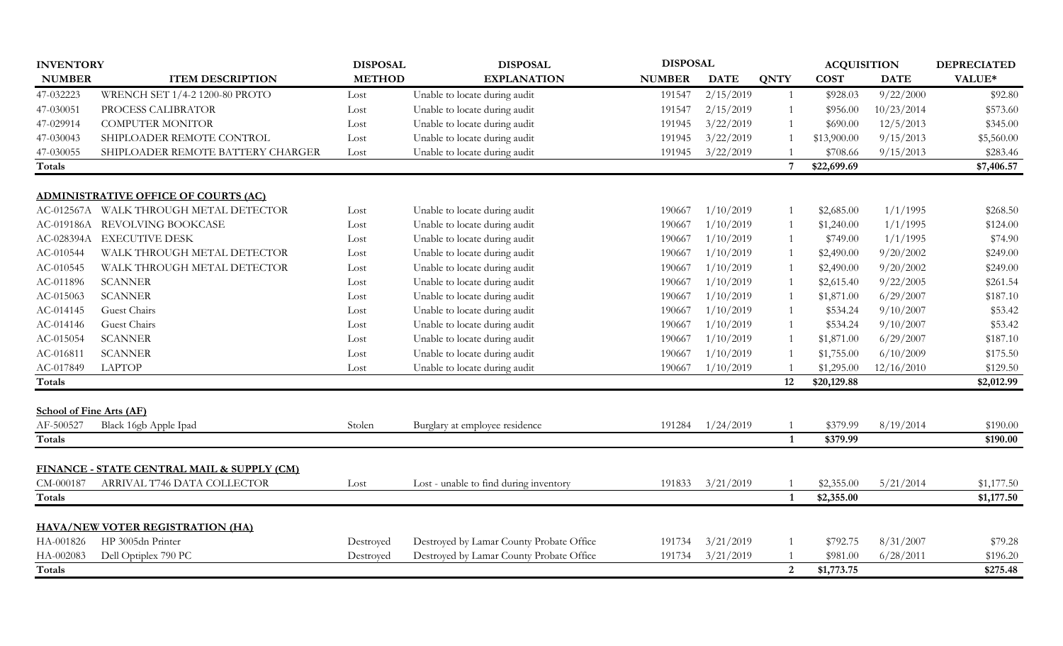| <b>METHOD</b><br>VALUE*<br><b>NUMBER</b><br><b>ITEM DESCRIPTION</b><br><b>EXPLANATION</b><br><b>NUMBER</b><br><b>DATE</b><br><b>QNTY</b><br><b>COST</b><br><b>DATE</b><br>47-032223<br>2/15/2019<br>9/22/2000<br>\$92.80<br>WRENCH SET 1/4-2 1200-80 PROTO<br>191547<br>\$928.03<br>Unable to locate during audit<br>$\overline{1}$<br>Lost<br>47-030051<br>Unable to locate during audit<br>191547<br>2/15/2019<br>10/23/2014<br>\$573.60<br>PROCESS CALIBRATOR<br>\$956.00<br>Lost<br>$\overline{1}$<br>47-029914<br>Unable to locate during audit<br>3/22/2019<br>12/5/2013<br>\$345.00<br><b>COMPUTER MONITOR</b><br>191945<br>\$690.00<br>Lost<br>Unable to locate during audit<br>47-030043<br>SHIPLOADER REMOTE CONTROL<br>3/22/2019<br>9/15/2013<br>191945<br>\$13,900.00<br>\$5,560.00<br>Lost<br>47-030055<br>SHIPLOADER REMOTE BATTERY CHARGER<br>Unable to locate during audit<br>3/22/2019<br>9/15/2013<br>\$283.46<br>191945<br>\$708.66<br>Lost<br>Totals<br>$7\overline{ }$<br>\$22,699.69<br>\$7,406.57<br><b>ADMINISTRATIVE OFFICE OF COURTS (AC)</b><br>WALK THROUGH METAL DETECTOR<br>Unable to locate during audit<br>1/10/2019<br>1/1/1995<br>AC-012567A<br>\$2,685.00<br>\$268.50<br>Lost<br>190667<br>REVOLVING BOOKCASE<br>Unable to locate during audit<br>1/10/2019<br>1/1/1995<br>AC-019186A<br>\$1,240.00<br>\$124.00<br>190667<br>Lost<br>AC-028394A<br><b>EXECUTIVE DESK</b><br>Unable to locate during audit<br>1/10/2019<br>1/1/1995<br>\$74.90<br>190667<br>\$749.00<br>Lost<br>AC-010544<br>WALK THROUGH METAL DETECTOR<br>Unable to locate during audit<br>1/10/2019<br>9/20/2002<br>\$249.00<br>190667<br>\$2,490.00<br>Lost<br>Unable to locate during audit<br>1/10/2019<br>AC-010545<br>WALK THROUGH METAL DETECTOR<br>190667<br>\$2,490.00<br>9/20/2002<br>\$249.00<br>Lost<br>AC-011896<br><b>SCANNER</b><br>Unable to locate during audit<br>1/10/2019<br>9/22/2005<br>\$261.54<br>190667<br>\$2,615.40<br>Lost<br><b>SCANNER</b><br>1/10/2019<br>6/29/2007<br>\$187.10<br>AC-015063<br>Unable to locate during audit<br>190667<br>\$1,871.00<br>Lost<br>Guest Chairs<br>AC-014145<br>Unable to locate during audit<br>1/10/2019<br>9/10/2007<br>\$53.42<br>190667<br>\$534.24<br>Lost<br>Guest Chairs<br>1/10/2019<br>9/10/2007<br>\$53.42<br>AC-014146<br>Unable to locate during audit<br>190667<br>\$534.24<br>Lost<br>AC-015054<br><b>SCANNER</b><br>Unable to locate during audit<br>1/10/2019<br>6/29/2007<br>\$187.10<br>190667<br>\$1,871.00<br>Lost<br>Unable to locate during audit<br>1/10/2019<br>6/10/2009<br>AC-016811<br><b>SCANNER</b><br>190667<br>\$1,755.00<br>\$175.50<br>Lost<br>AC-017849<br><b>LAPTOP</b><br>1/10/2019<br>\$1,295.00<br>12/16/2010<br>Unable to locate during audit<br>190667<br>\$129.50<br>Lost<br>12<br><b>Totals</b><br>\$20,129.88<br>\$2,012.99<br><b>School of Fine Arts (AF)</b><br>AF-500527<br>Black 16gb Apple Ipad<br>Stolen<br>191284<br>1/24/2019<br>\$379.99<br>8/19/2014<br>\$190.00<br>Burglary at employee residence<br>Totals<br>\$379.99<br>\$190.00<br>$\mathbf{1}$<br>FINANCE - STATE CENTRAL MAIL & SUPPLY (CM)<br>CM-000187<br>ARRIVAL T746 DATA COLLECTOR<br>3/21/2019<br>\$2,355.00<br>5/21/2014<br>Lost - unable to find during inventory<br>191833<br>\$1,177.50<br>Lost<br>\$2,355.00<br>\$1,177.50<br><b>Totals</b><br>$\mathbf{1}$<br><b>HAVA/NEW VOTER REGISTRATION (HA)</b><br>HP 3005dn Printer<br>HA-001826<br>Destroyed by Lamar County Probate Office<br>3/21/2019<br>\$792.75<br>8/31/2007<br>191734<br>\$79.28<br>Destroyed<br>Destroyed by Lamar County Probate Office<br>HA-002083<br>Dell Optiplex 790 PC<br>191734<br>3/21/2019<br>\$981.00<br>6/28/2011<br>\$196.20<br>Destroved | <b>INVENTORY</b> | <b>DISPOSAL</b> | <b>DISPOSAL</b> | <b>DISPOSAL</b> |                | <b>ACQUISITION</b> |  | <b>DEPRECIATED</b> |
|-----------------------------------------------------------------------------------------------------------------------------------------------------------------------------------------------------------------------------------------------------------------------------------------------------------------------------------------------------------------------------------------------------------------------------------------------------------------------------------------------------------------------------------------------------------------------------------------------------------------------------------------------------------------------------------------------------------------------------------------------------------------------------------------------------------------------------------------------------------------------------------------------------------------------------------------------------------------------------------------------------------------------------------------------------------------------------------------------------------------------------------------------------------------------------------------------------------------------------------------------------------------------------------------------------------------------------------------------------------------------------------------------------------------------------------------------------------------------------------------------------------------------------------------------------------------------------------------------------------------------------------------------------------------------------------------------------------------------------------------------------------------------------------------------------------------------------------------------------------------------------------------------------------------------------------------------------------------------------------------------------------------------------------------------------------------------------------------------------------------------------------------------------------------------------------------------------------------------------------------------------------------------------------------------------------------------------------------------------------------------------------------------------------------------------------------------------------------------------------------------------------------------------------------------------------------------------------------------------------------------------------------------------------------------------------------------------------------------------------------------------------------------------------------------------------------------------------------------------------------------------------------------------------------------------------------------------------------------------------------------------------------------------------------------------------------------------------------------------------------------------------------------------------------------------------------------------------------------------------------------------------------------------------------------------------------------------------------------------------------------------------------------------------------------------------------------------------------------------------------------------------------------------------------------------------------------------------------------------------------------------------------------------------------------------------------------------------------|------------------|-----------------|-----------------|-----------------|----------------|--------------------|--|--------------------|
|                                                                                                                                                                                                                                                                                                                                                                                                                                                                                                                                                                                                                                                                                                                                                                                                                                                                                                                                                                                                                                                                                                                                                                                                                                                                                                                                                                                                                                                                                                                                                                                                                                                                                                                                                                                                                                                                                                                                                                                                                                                                                                                                                                                                                                                                                                                                                                                                                                                                                                                                                                                                                                                                                                                                                                                                                                                                                                                                                                                                                                                                                                                                                                                                                                                                                                                                                                                                                                                                                                                                                                                                                                                                                                                 |                  |                 |                 |                 |                |                    |  |                    |
|                                                                                                                                                                                                                                                                                                                                                                                                                                                                                                                                                                                                                                                                                                                                                                                                                                                                                                                                                                                                                                                                                                                                                                                                                                                                                                                                                                                                                                                                                                                                                                                                                                                                                                                                                                                                                                                                                                                                                                                                                                                                                                                                                                                                                                                                                                                                                                                                                                                                                                                                                                                                                                                                                                                                                                                                                                                                                                                                                                                                                                                                                                                                                                                                                                                                                                                                                                                                                                                                                                                                                                                                                                                                                                                 |                  |                 |                 |                 |                |                    |  |                    |
|                                                                                                                                                                                                                                                                                                                                                                                                                                                                                                                                                                                                                                                                                                                                                                                                                                                                                                                                                                                                                                                                                                                                                                                                                                                                                                                                                                                                                                                                                                                                                                                                                                                                                                                                                                                                                                                                                                                                                                                                                                                                                                                                                                                                                                                                                                                                                                                                                                                                                                                                                                                                                                                                                                                                                                                                                                                                                                                                                                                                                                                                                                                                                                                                                                                                                                                                                                                                                                                                                                                                                                                                                                                                                                                 |                  |                 |                 |                 |                |                    |  |                    |
|                                                                                                                                                                                                                                                                                                                                                                                                                                                                                                                                                                                                                                                                                                                                                                                                                                                                                                                                                                                                                                                                                                                                                                                                                                                                                                                                                                                                                                                                                                                                                                                                                                                                                                                                                                                                                                                                                                                                                                                                                                                                                                                                                                                                                                                                                                                                                                                                                                                                                                                                                                                                                                                                                                                                                                                                                                                                                                                                                                                                                                                                                                                                                                                                                                                                                                                                                                                                                                                                                                                                                                                                                                                                                                                 |                  |                 |                 |                 |                |                    |  |                    |
|                                                                                                                                                                                                                                                                                                                                                                                                                                                                                                                                                                                                                                                                                                                                                                                                                                                                                                                                                                                                                                                                                                                                                                                                                                                                                                                                                                                                                                                                                                                                                                                                                                                                                                                                                                                                                                                                                                                                                                                                                                                                                                                                                                                                                                                                                                                                                                                                                                                                                                                                                                                                                                                                                                                                                                                                                                                                                                                                                                                                                                                                                                                                                                                                                                                                                                                                                                                                                                                                                                                                                                                                                                                                                                                 |                  |                 |                 |                 |                |                    |  |                    |
|                                                                                                                                                                                                                                                                                                                                                                                                                                                                                                                                                                                                                                                                                                                                                                                                                                                                                                                                                                                                                                                                                                                                                                                                                                                                                                                                                                                                                                                                                                                                                                                                                                                                                                                                                                                                                                                                                                                                                                                                                                                                                                                                                                                                                                                                                                                                                                                                                                                                                                                                                                                                                                                                                                                                                                                                                                                                                                                                                                                                                                                                                                                                                                                                                                                                                                                                                                                                                                                                                                                                                                                                                                                                                                                 |                  |                 |                 |                 |                |                    |  |                    |
|                                                                                                                                                                                                                                                                                                                                                                                                                                                                                                                                                                                                                                                                                                                                                                                                                                                                                                                                                                                                                                                                                                                                                                                                                                                                                                                                                                                                                                                                                                                                                                                                                                                                                                                                                                                                                                                                                                                                                                                                                                                                                                                                                                                                                                                                                                                                                                                                                                                                                                                                                                                                                                                                                                                                                                                                                                                                                                                                                                                                                                                                                                                                                                                                                                                                                                                                                                                                                                                                                                                                                                                                                                                                                                                 |                  |                 |                 |                 |                |                    |  |                    |
|                                                                                                                                                                                                                                                                                                                                                                                                                                                                                                                                                                                                                                                                                                                                                                                                                                                                                                                                                                                                                                                                                                                                                                                                                                                                                                                                                                                                                                                                                                                                                                                                                                                                                                                                                                                                                                                                                                                                                                                                                                                                                                                                                                                                                                                                                                                                                                                                                                                                                                                                                                                                                                                                                                                                                                                                                                                                                                                                                                                                                                                                                                                                                                                                                                                                                                                                                                                                                                                                                                                                                                                                                                                                                                                 |                  |                 |                 |                 |                |                    |  |                    |
|                                                                                                                                                                                                                                                                                                                                                                                                                                                                                                                                                                                                                                                                                                                                                                                                                                                                                                                                                                                                                                                                                                                                                                                                                                                                                                                                                                                                                                                                                                                                                                                                                                                                                                                                                                                                                                                                                                                                                                                                                                                                                                                                                                                                                                                                                                                                                                                                                                                                                                                                                                                                                                                                                                                                                                                                                                                                                                                                                                                                                                                                                                                                                                                                                                                                                                                                                                                                                                                                                                                                                                                                                                                                                                                 |                  |                 |                 |                 |                |                    |  |                    |
|                                                                                                                                                                                                                                                                                                                                                                                                                                                                                                                                                                                                                                                                                                                                                                                                                                                                                                                                                                                                                                                                                                                                                                                                                                                                                                                                                                                                                                                                                                                                                                                                                                                                                                                                                                                                                                                                                                                                                                                                                                                                                                                                                                                                                                                                                                                                                                                                                                                                                                                                                                                                                                                                                                                                                                                                                                                                                                                                                                                                                                                                                                                                                                                                                                                                                                                                                                                                                                                                                                                                                                                                                                                                                                                 |                  |                 |                 |                 |                |                    |  |                    |
|                                                                                                                                                                                                                                                                                                                                                                                                                                                                                                                                                                                                                                                                                                                                                                                                                                                                                                                                                                                                                                                                                                                                                                                                                                                                                                                                                                                                                                                                                                                                                                                                                                                                                                                                                                                                                                                                                                                                                                                                                                                                                                                                                                                                                                                                                                                                                                                                                                                                                                                                                                                                                                                                                                                                                                                                                                                                                                                                                                                                                                                                                                                                                                                                                                                                                                                                                                                                                                                                                                                                                                                                                                                                                                                 |                  |                 |                 |                 |                |                    |  |                    |
|                                                                                                                                                                                                                                                                                                                                                                                                                                                                                                                                                                                                                                                                                                                                                                                                                                                                                                                                                                                                                                                                                                                                                                                                                                                                                                                                                                                                                                                                                                                                                                                                                                                                                                                                                                                                                                                                                                                                                                                                                                                                                                                                                                                                                                                                                                                                                                                                                                                                                                                                                                                                                                                                                                                                                                                                                                                                                                                                                                                                                                                                                                                                                                                                                                                                                                                                                                                                                                                                                                                                                                                                                                                                                                                 |                  |                 |                 |                 |                |                    |  |                    |
|                                                                                                                                                                                                                                                                                                                                                                                                                                                                                                                                                                                                                                                                                                                                                                                                                                                                                                                                                                                                                                                                                                                                                                                                                                                                                                                                                                                                                                                                                                                                                                                                                                                                                                                                                                                                                                                                                                                                                                                                                                                                                                                                                                                                                                                                                                                                                                                                                                                                                                                                                                                                                                                                                                                                                                                                                                                                                                                                                                                                                                                                                                                                                                                                                                                                                                                                                                                                                                                                                                                                                                                                                                                                                                                 |                  |                 |                 |                 |                |                    |  |                    |
|                                                                                                                                                                                                                                                                                                                                                                                                                                                                                                                                                                                                                                                                                                                                                                                                                                                                                                                                                                                                                                                                                                                                                                                                                                                                                                                                                                                                                                                                                                                                                                                                                                                                                                                                                                                                                                                                                                                                                                                                                                                                                                                                                                                                                                                                                                                                                                                                                                                                                                                                                                                                                                                                                                                                                                                                                                                                                                                                                                                                                                                                                                                                                                                                                                                                                                                                                                                                                                                                                                                                                                                                                                                                                                                 |                  |                 |                 |                 |                |                    |  |                    |
|                                                                                                                                                                                                                                                                                                                                                                                                                                                                                                                                                                                                                                                                                                                                                                                                                                                                                                                                                                                                                                                                                                                                                                                                                                                                                                                                                                                                                                                                                                                                                                                                                                                                                                                                                                                                                                                                                                                                                                                                                                                                                                                                                                                                                                                                                                                                                                                                                                                                                                                                                                                                                                                                                                                                                                                                                                                                                                                                                                                                                                                                                                                                                                                                                                                                                                                                                                                                                                                                                                                                                                                                                                                                                                                 |                  |                 |                 |                 |                |                    |  |                    |
|                                                                                                                                                                                                                                                                                                                                                                                                                                                                                                                                                                                                                                                                                                                                                                                                                                                                                                                                                                                                                                                                                                                                                                                                                                                                                                                                                                                                                                                                                                                                                                                                                                                                                                                                                                                                                                                                                                                                                                                                                                                                                                                                                                                                                                                                                                                                                                                                                                                                                                                                                                                                                                                                                                                                                                                                                                                                                                                                                                                                                                                                                                                                                                                                                                                                                                                                                                                                                                                                                                                                                                                                                                                                                                                 |                  |                 |                 |                 |                |                    |  |                    |
|                                                                                                                                                                                                                                                                                                                                                                                                                                                                                                                                                                                                                                                                                                                                                                                                                                                                                                                                                                                                                                                                                                                                                                                                                                                                                                                                                                                                                                                                                                                                                                                                                                                                                                                                                                                                                                                                                                                                                                                                                                                                                                                                                                                                                                                                                                                                                                                                                                                                                                                                                                                                                                                                                                                                                                                                                                                                                                                                                                                                                                                                                                                                                                                                                                                                                                                                                                                                                                                                                                                                                                                                                                                                                                                 |                  |                 |                 |                 |                |                    |  |                    |
|                                                                                                                                                                                                                                                                                                                                                                                                                                                                                                                                                                                                                                                                                                                                                                                                                                                                                                                                                                                                                                                                                                                                                                                                                                                                                                                                                                                                                                                                                                                                                                                                                                                                                                                                                                                                                                                                                                                                                                                                                                                                                                                                                                                                                                                                                                                                                                                                                                                                                                                                                                                                                                                                                                                                                                                                                                                                                                                                                                                                                                                                                                                                                                                                                                                                                                                                                                                                                                                                                                                                                                                                                                                                                                                 |                  |                 |                 |                 |                |                    |  |                    |
|                                                                                                                                                                                                                                                                                                                                                                                                                                                                                                                                                                                                                                                                                                                                                                                                                                                                                                                                                                                                                                                                                                                                                                                                                                                                                                                                                                                                                                                                                                                                                                                                                                                                                                                                                                                                                                                                                                                                                                                                                                                                                                                                                                                                                                                                                                                                                                                                                                                                                                                                                                                                                                                                                                                                                                                                                                                                                                                                                                                                                                                                                                                                                                                                                                                                                                                                                                                                                                                                                                                                                                                                                                                                                                                 |                  |                 |                 |                 |                |                    |  |                    |
|                                                                                                                                                                                                                                                                                                                                                                                                                                                                                                                                                                                                                                                                                                                                                                                                                                                                                                                                                                                                                                                                                                                                                                                                                                                                                                                                                                                                                                                                                                                                                                                                                                                                                                                                                                                                                                                                                                                                                                                                                                                                                                                                                                                                                                                                                                                                                                                                                                                                                                                                                                                                                                                                                                                                                                                                                                                                                                                                                                                                                                                                                                                                                                                                                                                                                                                                                                                                                                                                                                                                                                                                                                                                                                                 |                  |                 |                 |                 |                |                    |  |                    |
|                                                                                                                                                                                                                                                                                                                                                                                                                                                                                                                                                                                                                                                                                                                                                                                                                                                                                                                                                                                                                                                                                                                                                                                                                                                                                                                                                                                                                                                                                                                                                                                                                                                                                                                                                                                                                                                                                                                                                                                                                                                                                                                                                                                                                                                                                                                                                                                                                                                                                                                                                                                                                                                                                                                                                                                                                                                                                                                                                                                                                                                                                                                                                                                                                                                                                                                                                                                                                                                                                                                                                                                                                                                                                                                 |                  |                 |                 |                 |                |                    |  |                    |
|                                                                                                                                                                                                                                                                                                                                                                                                                                                                                                                                                                                                                                                                                                                                                                                                                                                                                                                                                                                                                                                                                                                                                                                                                                                                                                                                                                                                                                                                                                                                                                                                                                                                                                                                                                                                                                                                                                                                                                                                                                                                                                                                                                                                                                                                                                                                                                                                                                                                                                                                                                                                                                                                                                                                                                                                                                                                                                                                                                                                                                                                                                                                                                                                                                                                                                                                                                                                                                                                                                                                                                                                                                                                                                                 |                  |                 |                 |                 |                |                    |  |                    |
|                                                                                                                                                                                                                                                                                                                                                                                                                                                                                                                                                                                                                                                                                                                                                                                                                                                                                                                                                                                                                                                                                                                                                                                                                                                                                                                                                                                                                                                                                                                                                                                                                                                                                                                                                                                                                                                                                                                                                                                                                                                                                                                                                                                                                                                                                                                                                                                                                                                                                                                                                                                                                                                                                                                                                                                                                                                                                                                                                                                                                                                                                                                                                                                                                                                                                                                                                                                                                                                                                                                                                                                                                                                                                                                 |                  |                 |                 |                 |                |                    |  |                    |
|                                                                                                                                                                                                                                                                                                                                                                                                                                                                                                                                                                                                                                                                                                                                                                                                                                                                                                                                                                                                                                                                                                                                                                                                                                                                                                                                                                                                                                                                                                                                                                                                                                                                                                                                                                                                                                                                                                                                                                                                                                                                                                                                                                                                                                                                                                                                                                                                                                                                                                                                                                                                                                                                                                                                                                                                                                                                                                                                                                                                                                                                                                                                                                                                                                                                                                                                                                                                                                                                                                                                                                                                                                                                                                                 |                  |                 |                 |                 |                |                    |  |                    |
|                                                                                                                                                                                                                                                                                                                                                                                                                                                                                                                                                                                                                                                                                                                                                                                                                                                                                                                                                                                                                                                                                                                                                                                                                                                                                                                                                                                                                                                                                                                                                                                                                                                                                                                                                                                                                                                                                                                                                                                                                                                                                                                                                                                                                                                                                                                                                                                                                                                                                                                                                                                                                                                                                                                                                                                                                                                                                                                                                                                                                                                                                                                                                                                                                                                                                                                                                                                                                                                                                                                                                                                                                                                                                                                 |                  |                 |                 |                 |                |                    |  |                    |
|                                                                                                                                                                                                                                                                                                                                                                                                                                                                                                                                                                                                                                                                                                                                                                                                                                                                                                                                                                                                                                                                                                                                                                                                                                                                                                                                                                                                                                                                                                                                                                                                                                                                                                                                                                                                                                                                                                                                                                                                                                                                                                                                                                                                                                                                                                                                                                                                                                                                                                                                                                                                                                                                                                                                                                                                                                                                                                                                                                                                                                                                                                                                                                                                                                                                                                                                                                                                                                                                                                                                                                                                                                                                                                                 |                  |                 |                 |                 |                |                    |  |                    |
|                                                                                                                                                                                                                                                                                                                                                                                                                                                                                                                                                                                                                                                                                                                                                                                                                                                                                                                                                                                                                                                                                                                                                                                                                                                                                                                                                                                                                                                                                                                                                                                                                                                                                                                                                                                                                                                                                                                                                                                                                                                                                                                                                                                                                                                                                                                                                                                                                                                                                                                                                                                                                                                                                                                                                                                                                                                                                                                                                                                                                                                                                                                                                                                                                                                                                                                                                                                                                                                                                                                                                                                                                                                                                                                 |                  |                 |                 |                 |                |                    |  |                    |
|                                                                                                                                                                                                                                                                                                                                                                                                                                                                                                                                                                                                                                                                                                                                                                                                                                                                                                                                                                                                                                                                                                                                                                                                                                                                                                                                                                                                                                                                                                                                                                                                                                                                                                                                                                                                                                                                                                                                                                                                                                                                                                                                                                                                                                                                                                                                                                                                                                                                                                                                                                                                                                                                                                                                                                                                                                                                                                                                                                                                                                                                                                                                                                                                                                                                                                                                                                                                                                                                                                                                                                                                                                                                                                                 |                  |                 |                 |                 |                |                    |  |                    |
|                                                                                                                                                                                                                                                                                                                                                                                                                                                                                                                                                                                                                                                                                                                                                                                                                                                                                                                                                                                                                                                                                                                                                                                                                                                                                                                                                                                                                                                                                                                                                                                                                                                                                                                                                                                                                                                                                                                                                                                                                                                                                                                                                                                                                                                                                                                                                                                                                                                                                                                                                                                                                                                                                                                                                                                                                                                                                                                                                                                                                                                                                                                                                                                                                                                                                                                                                                                                                                                                                                                                                                                                                                                                                                                 |                  |                 |                 |                 |                |                    |  |                    |
|                                                                                                                                                                                                                                                                                                                                                                                                                                                                                                                                                                                                                                                                                                                                                                                                                                                                                                                                                                                                                                                                                                                                                                                                                                                                                                                                                                                                                                                                                                                                                                                                                                                                                                                                                                                                                                                                                                                                                                                                                                                                                                                                                                                                                                                                                                                                                                                                                                                                                                                                                                                                                                                                                                                                                                                                                                                                                                                                                                                                                                                                                                                                                                                                                                                                                                                                                                                                                                                                                                                                                                                                                                                                                                                 |                  |                 |                 |                 |                |                    |  |                    |
|                                                                                                                                                                                                                                                                                                                                                                                                                                                                                                                                                                                                                                                                                                                                                                                                                                                                                                                                                                                                                                                                                                                                                                                                                                                                                                                                                                                                                                                                                                                                                                                                                                                                                                                                                                                                                                                                                                                                                                                                                                                                                                                                                                                                                                                                                                                                                                                                                                                                                                                                                                                                                                                                                                                                                                                                                                                                                                                                                                                                                                                                                                                                                                                                                                                                                                                                                                                                                                                                                                                                                                                                                                                                                                                 |                  |                 |                 |                 |                |                    |  |                    |
|                                                                                                                                                                                                                                                                                                                                                                                                                                                                                                                                                                                                                                                                                                                                                                                                                                                                                                                                                                                                                                                                                                                                                                                                                                                                                                                                                                                                                                                                                                                                                                                                                                                                                                                                                                                                                                                                                                                                                                                                                                                                                                                                                                                                                                                                                                                                                                                                                                                                                                                                                                                                                                                                                                                                                                                                                                                                                                                                                                                                                                                                                                                                                                                                                                                                                                                                                                                                                                                                                                                                                                                                                                                                                                                 |                  |                 |                 |                 |                |                    |  |                    |
|                                                                                                                                                                                                                                                                                                                                                                                                                                                                                                                                                                                                                                                                                                                                                                                                                                                                                                                                                                                                                                                                                                                                                                                                                                                                                                                                                                                                                                                                                                                                                                                                                                                                                                                                                                                                                                                                                                                                                                                                                                                                                                                                                                                                                                                                                                                                                                                                                                                                                                                                                                                                                                                                                                                                                                                                                                                                                                                                                                                                                                                                                                                                                                                                                                                                                                                                                                                                                                                                                                                                                                                                                                                                                                                 |                  |                 |                 |                 |                |                    |  |                    |
|                                                                                                                                                                                                                                                                                                                                                                                                                                                                                                                                                                                                                                                                                                                                                                                                                                                                                                                                                                                                                                                                                                                                                                                                                                                                                                                                                                                                                                                                                                                                                                                                                                                                                                                                                                                                                                                                                                                                                                                                                                                                                                                                                                                                                                                                                                                                                                                                                                                                                                                                                                                                                                                                                                                                                                                                                                                                                                                                                                                                                                                                                                                                                                                                                                                                                                                                                                                                                                                                                                                                                                                                                                                                                                                 | <b>Totals</b>    |                 |                 |                 | $\overline{2}$ | \$1,773.75         |  | \$275.48           |